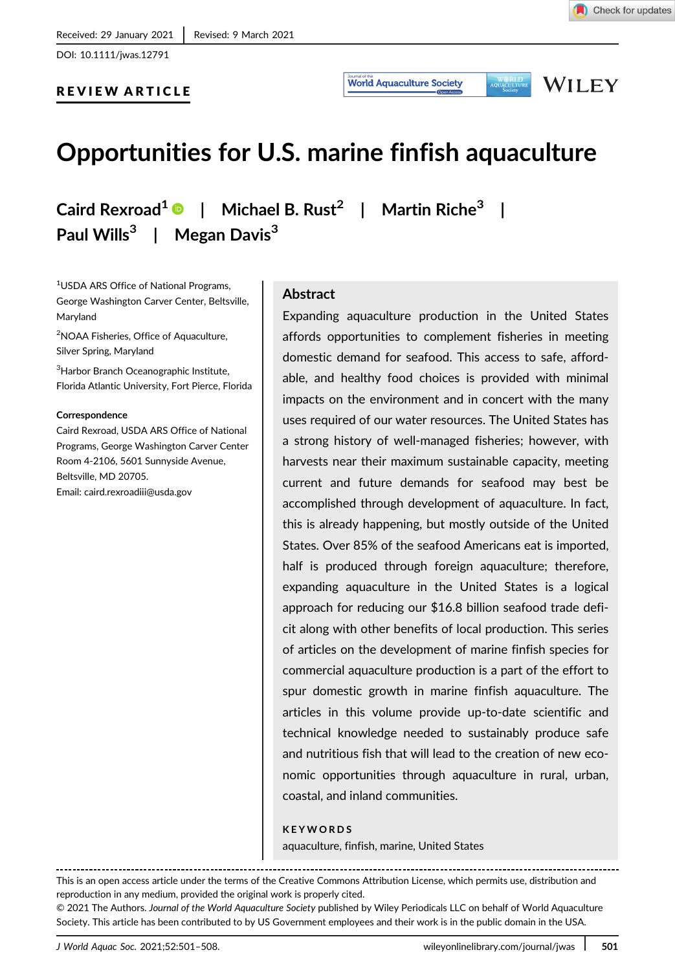DOI: 10.1111/jwas.12791



WILEY

**World Aquaculture Society** 

# REVIEW ARTICLE

# Opportunities for U.S. marine finfish aquaculture

Caird Rexroad<sup>1</sup>  $\bullet$  | Michael B. Rust<sup>2</sup> | Martin Riche<sup>3</sup> | Paul Wills $3$  | Megan Davis $3$ 

1 USDA ARS Office of National Programs, George Washington Carver Center, Beltsville, Maryland

2 NOAA Fisheries, Office of Aquaculture, Silver Spring, Maryland

<sup>3</sup>Harbor Branch Oceanographic Institute, Florida Atlantic University, Fort Pierce, Florida

#### Correspondence

Caird Rexroad, USDA ARS Office of National Programs, George Washington Carver Center Room 4-2106, 5601 Sunnyside Avenue, Beltsville, MD 20705. Email: [caird.rexroadiii@usda.gov](mailto:caird.rexroadiii@usda.gov)

#### **Abstract**

Expanding aquaculture production in the United States affords opportunities to complement fisheries in meeting domestic demand for seafood. This access to safe, affordable, and healthy food choices is provided with minimal impacts on the environment and in concert with the many uses required of our water resources. The United States has a strong history of well-managed fisheries; however, with harvests near their maximum sustainable capacity, meeting current and future demands for seafood may best be accomplished through development of aquaculture. In fact, this is already happening, but mostly outside of the United States. Over 85% of the seafood Americans eat is imported, half is produced through foreign aquaculture; therefore, expanding aquaculture in the United States is a logical approach for reducing our \$16.8 billion seafood trade deficit along with other benefits of local production. This series of articles on the development of marine finfish species for commercial aquaculture production is a part of the effort to spur domestic growth in marine finfish aquaculture. The articles in this volume provide up-to-date scientific and technical knowledge needed to sustainably produce safe and nutritious fish that will lead to the creation of new economic opportunities through aquaculture in rural, urban, coastal, and inland communities.

#### KEYWORDS

aquaculture, finfish, marine, United States

This is an open access article under the terms of the [Creative Commons Attribution](http://creativecommons.org/licenses/by/4.0/) License, which permits use, distribution and reproduction in any medium, provided the original work is properly cited.

© 2021 The Authors. Journal of the World Aquaculture Society published by Wiley Periodicals LLC on behalf of World Aquaculture Society. This article has been contributed to by US Government employees and their work is in the public domain in the USA.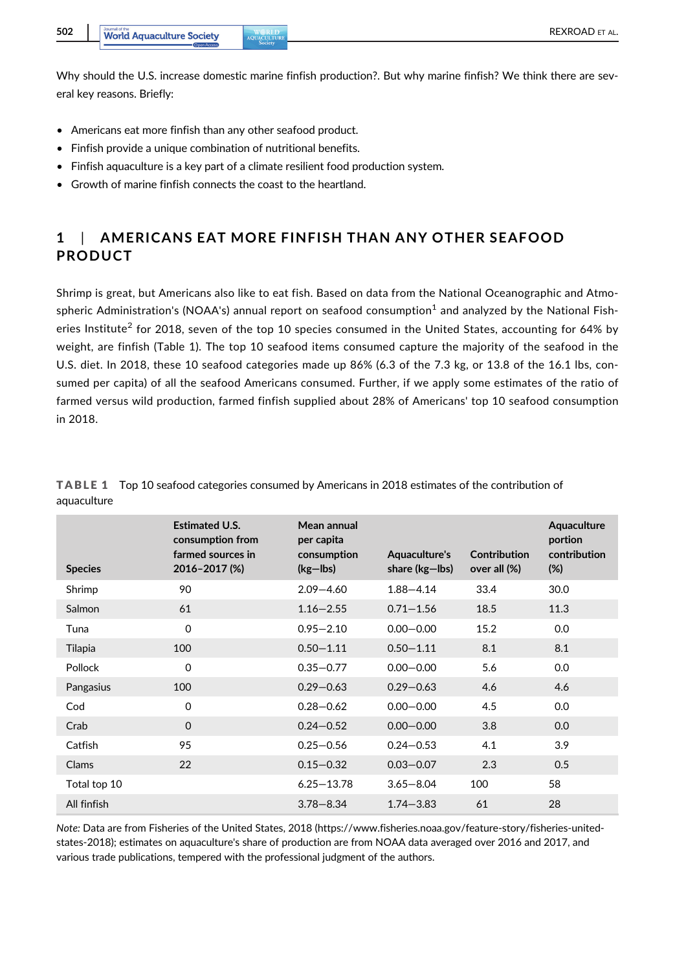Why should the U.S. increase domestic marine finfish production?. But why marine finfish? We think there are several key reasons. Briefly:

- Americans eat more finfish than any other seafood product.
- Finfish provide a unique combination of nutritional benefits.
- Finfish aquaculture is a key part of a climate resilient food production system.
- Growth of marine finfish connects the coast to the heartland.

### 1 | AMERICANS EAT MORE FINFISH THAN ANY OTHER SEAFOOD PRODUCT

Shrimp is great, but Americans also like to eat fish. Based on data from the National Oceanographic and Atmospheric Administration's (NOAA's) annual report on seafood consumption $<sup>1</sup>$  and analyzed by the National Fish-</sup> eries Institute<sup>2</sup> for 2018, seven of the top 10 species consumed in the United States, accounting for 64% by weight, are finfish (Table 1). The top 10 seafood items consumed capture the majority of the seafood in the U.S. diet. In 2018, these 10 seafood categories made up 86% (6.3 of the 7.3 kg, or 13.8 of the 16.1 lbs, consumed per capita) of all the seafood Americans consumed. Further, if we apply some estimates of the ratio of farmed versus wild production, farmed finfish supplied about 28% of Americans' top 10 seafood consumption in 2018.

| <b>Species</b> | <b>Estimated U.S.</b><br>consumption from<br>farmed sources in<br>2016-2017 (%) | Mean annual<br>per capita<br>consumption<br>$(kg - Ibs)$ | Aquaculture's<br>share (kg-lbs) | Contribution<br>over all (%) | Aquaculture<br>portion<br>contribution<br>$(\%)$ |
|----------------|---------------------------------------------------------------------------------|----------------------------------------------------------|---------------------------------|------------------------------|--------------------------------------------------|
| Shrimp         | 90                                                                              | $2.09 - 4.60$                                            | $1.88 - 4.14$                   | 33.4                         | 30.0                                             |
| Salmon         | 61                                                                              | $1.16 - 2.55$                                            | $0.71 - 1.56$                   | 18.5                         | 11.3                                             |
| Tuna           | $\Omega$                                                                        | $0.95 - 2.10$                                            | $0.00 - 0.00$                   | 15.2                         | 0.0                                              |
| Tilapia        | 100                                                                             | $0.50 - 1.11$                                            | $0.50 - 1.11$                   | 8.1                          | 8.1                                              |
| Pollock        | $\Omega$                                                                        | $0.35 - 0.77$                                            | $0.00 - 0.00$                   | 5.6                          | 0.0                                              |
| Pangasius      | 100                                                                             | $0.29 - 0.63$                                            | $0.29 - 0.63$                   | 4.6                          | 4.6                                              |
| Cod            | $\Omega$                                                                        | $0.28 - 0.62$                                            | $0.00 - 0.00$                   | 4.5                          | 0.0                                              |
| Crab           | $\mathbf 0$                                                                     | $0.24 - 0.52$                                            | $0.00 - 0.00$                   | 3.8                          | 0.0                                              |
| Catfish        | 95                                                                              | $0.25 - 0.56$                                            | $0.24 - 0.53$                   | 4.1                          | 3.9                                              |
| Clams          | 22                                                                              | $0.15 - 0.32$                                            | $0.03 - 0.07$                   | 2.3                          | 0.5                                              |
| Total top 10   |                                                                                 | $6.25 - 13.78$                                           | $3.65 - 8.04$                   | 100                          | 58                                               |
| All finfish    |                                                                                 | $3.78 - 8.34$                                            | $1.74 - 3.83$                   | 61                           | 28                                               |

TABLE 1 Top 10 seafood categories consumed by Americans in 2018 estimates of the contribution of aquaculture

Note: Data are from Fisheries of the United States, 2018 [\(https://www.fisheries.noaa.gov/feature-story/fisheries-united](https://www.fisheries.noaa.gov/feature-story/fisheries-united-states-2018)[states-2018\)](https://www.fisheries.noaa.gov/feature-story/fisheries-united-states-2018); estimates on aquaculture's share of production are from NOAA data averaged over 2016 and 2017, and various trade publications, tempered with the professional judgment of the authors.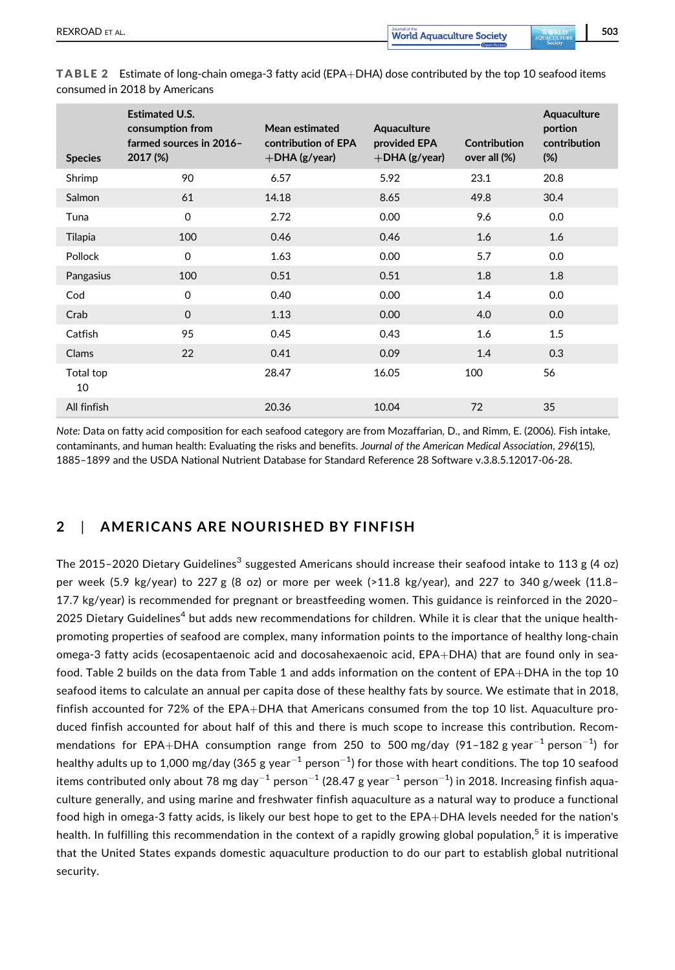consumed in 2018 by Americans

| <b>Species</b>  | <b>Estimated U.S.</b><br>consumption from<br>farmed sources in 2016-<br>2017 (%) | Mean estimated<br>contribution of EPA<br>$+$ DHA (g/year) | Aquaculture<br>provided EPA<br>$+$ DHA (g/year) | Contribution<br>over all (%) | Aquaculture<br>portion<br>contribution<br>$(\%)$ |
|-----------------|----------------------------------------------------------------------------------|-----------------------------------------------------------|-------------------------------------------------|------------------------------|--------------------------------------------------|
| Shrimp          | 90                                                                               | 6.57                                                      | 5.92                                            | 23.1                         | 20.8                                             |
| Salmon          | 61                                                                               | 14.18                                                     | 8.65                                            | 49.8                         | 30.4                                             |
| Tuna            | $\Omega$                                                                         | 2.72                                                      | 0.00                                            | 9.6                          | 0.0                                              |
| Tilapia         | 100                                                                              | 0.46                                                      | 0.46                                            | 1.6                          | 1.6                                              |
| Pollock         | $\Omega$                                                                         | 1.63                                                      | 0.00                                            | 5.7                          | 0.0                                              |
| Pangasius       | 100                                                                              | 0.51                                                      | 0.51                                            | 1.8                          | 1.8                                              |
| Cod             | $\mathbf 0$                                                                      | 0.40                                                      | 0.00                                            | 1.4                          | 0.0                                              |
| Crab            | $\Omega$                                                                         | 1.13                                                      | 0.00                                            | 4.0                          | 0.0                                              |
| Catfish         | 95                                                                               | 0.45                                                      | 0.43                                            | 1.6                          | 1.5                                              |
| Clams           | 22                                                                               | 0.41                                                      | 0.09                                            | 1.4                          | 0.3                                              |
| Total top<br>10 |                                                                                  | 28.47                                                     | 16.05                                           | 100                          | 56                                               |
| All finfish     |                                                                                  | 20.36                                                     | 10.04                                           | 72                           | 35                                               |
|                 |                                                                                  |                                                           |                                                 |                              |                                                  |

Note: Data on fatty acid composition for each seafood category are from Mozaffarian, D., and Rimm, E. (2006). Fish intake, contaminants, and human health: Evaluating the risks and benefits. Journal of the American Medical Association, 296(15),

1885–1899 and the USDA National Nutrient Database for Standard Reference 28 Software v.3.8.5.12017-06-28.

#### 2 | AMERICANS ARE NOURISHED BY FINFISH

The 2015–2020 Dietary Guidelines<sup>3</sup> suggested Americans should increase their seafood intake to 113 g (4 oz) per week (5.9 kg/year) to 227 g (8 oz) or more per week (>11.8 kg/year), and 227 to 340 g/week (11.8– 17.7 kg/year) is recommended for pregnant or breastfeeding women. This guidance is reinforced in the 2020– 2025 Dietary Guidelines<sup>4</sup> but adds new recommendations for children. While it is clear that the unique healthpromoting properties of seafood are complex, many information points to the importance of healthy long-chain omega-3 fatty acids (ecosapentaenoic acid and docosahexaenoic acid, EPA+DHA) that are found only in seafood. Table 2 builds on the data from Table 1 and adds information on the content of EPA+DHA in the top 10 seafood items to calculate an annual per capita dose of these healthy fats by source. We estimate that in 2018, finfish accounted for 72% of the EPA+DHA that Americans consumed from the top 10 list. Aquaculture produced finfish accounted for about half of this and there is much scope to increase this contribution. Recommendations for EPA+DHA consumption range from 250 to 500 mg/day (91-182 g year<sup>-1</sup> person<sup>-1</sup>) for healthy adults up to 1,000 mg/day (365 g year $^{-1}$  person $^{-1})$  for those with heart conditions. The top 10 seafood items contributed only about 78 mg day $^{-1}$  person $^{-1}$  (28.47 g year $^{-1}$  person $^{-1})$  in 2018. Increasing finfish aquaculture generally, and using marine and freshwater finfish aquaculture as a natural way to produce a functional food high in omega-3 fatty acids, is likely our best hope to get to the EPA+DHA levels needed for the nation's health. In fulfilling this recommendation in the context of a rapidly growing global population,<sup>5</sup> it is imperative that the United States expands domestic aquaculture production to do our part to establish global nutritional security.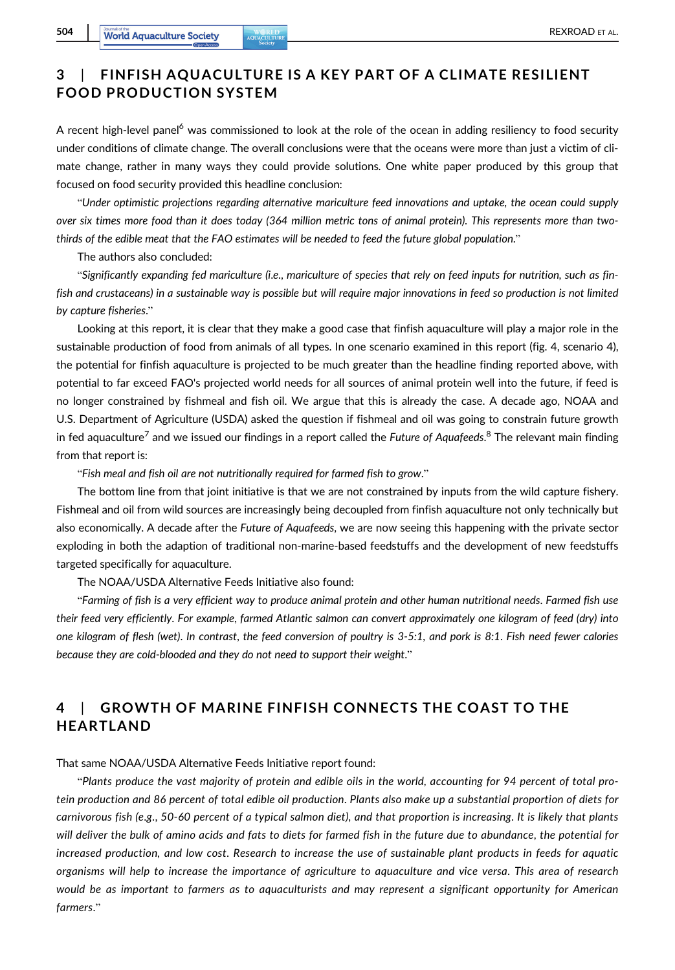## 3 | FINFISH AQUACULTURE IS A KEY PART OF A CLIMATE RESILIENT FOOD PRODUCTION SYSTEM

A recent high-level panel<sup>6</sup> was commissioned to look at the role of the ocean in adding resiliency to food security under conditions of climate change. The overall conclusions were that the oceans were more than just a victim of climate change, rather in many ways they could provide solutions. One white paper produced by this group that focused on food security provided this headline conclusion:

"Under optimistic projections regarding alternative mariculture feed innovations and uptake, the ocean could supply over six times more food than it does today (364 million metric tons of animal protein). This represents more than twothirds of the edible meat that the FAO estimates will be needed to feed the future global population."

The authors also concluded:

"Significantly expanding fed mariculture (i.e., mariculture of species that rely on feed inputs for nutrition, such as finfish and crustaceans) in a sustainable way is possible but will require major innovations in feed so production is not limited by capture fisheries."

Looking at this report, it is clear that they make a good case that finfish aquaculture will play a major role in the sustainable production of food from animals of all types. In one scenario examined in this report (fig. 4, scenario 4), the potential for finfish aquaculture is projected to be much greater than the headline finding reported above, with potential to far exceed FAO's projected world needs for all sources of animal protein well into the future, if feed is no longer constrained by fishmeal and fish oil. We argue that this is already the case. A decade ago, NOAA and U.S. Department of Agriculture (USDA) asked the question if fishmeal and oil was going to constrain future growth in fed aquaculture<sup>7</sup> and we issued our findings in a report called the *Future of Aquafeeds*.<sup>8</sup> The relevant main finding from that report is:

"Fish meal and fish oil are not nutritionally required for farmed fish to grow."

The bottom line from that joint initiative is that we are not constrained by inputs from the wild capture fishery. Fishmeal and oil from wild sources are increasingly being decoupled from finfish aquaculture not only technically but also economically. A decade after the Future of Aquafeeds, we are now seeing this happening with the private sector exploding in both the adaption of traditional non-marine-based feedstuffs and the development of new feedstuffs targeted specifically for aquaculture.

The NOAA/USDA Alternative Feeds Initiative also found:

"Farming of fish is a very efficient way to produce animal protein and other human nutritional needs. Farmed fish use their feed very efficiently. For example, farmed Atlantic salmon can convert approximately one kilogram of feed (dry) into one kilogram of flesh (wet). In contrast, the feed conversion of poultry is 3-5:1, and pork is 8:1. Fish need fewer calories because they are cold-blooded and they do not need to support their weight."

# 4 | GROWTH OF MARINE FINFISH CONNECTS THE COAST TO THE HEARTLAND

That same NOAA/USDA Alternative Feeds Initiative report found:

"Plants produce the vast majority of protein and edible oils in the world, accounting for 94 percent of total protein production and 86 percent of total edible oil production. Plants also make up a substantial proportion of diets for carnivorous fish (e.g., 50-60 percent of a typical salmon diet), and that proportion is increasing. It is likely that plants will deliver the bulk of amino acids and fats to diets for farmed fish in the future due to abundance, the potential for increased production, and low cost. Research to increase the use of sustainable plant products in feeds for aquatic organisms will help to increase the importance of agriculture to aquaculture and vice versa. This area of research would be as important to farmers as to aquaculturists and may represent a significant opportunity for American farmers."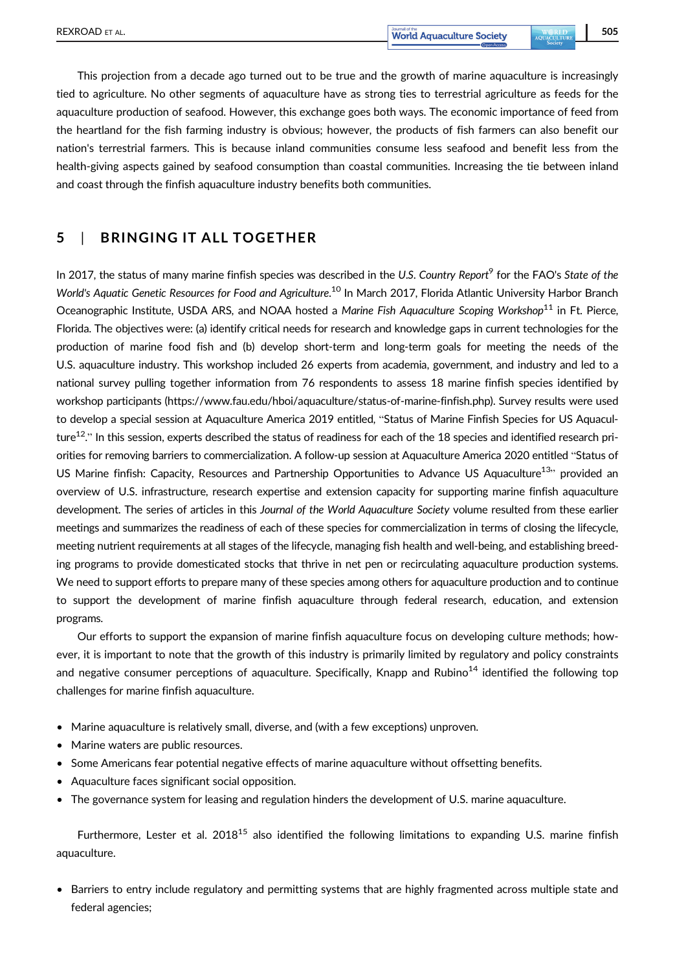This projection from a decade ago turned out to be true and the growth of marine aquaculture is increasingly tied to agriculture. No other segments of aquaculture have as strong ties to terrestrial agriculture as feeds for the aquaculture production of seafood. However, this exchange goes both ways. The economic importance of feed from the heartland for the fish farming industry is obvious; however, the products of fish farmers can also benefit our nation's terrestrial farmers. This is because inland communities consume less seafood and benefit less from the health-giving aspects gained by seafood consumption than coastal communities. Increasing the tie between inland and coast through the finfish aquaculture industry benefits both communities.

### 5 | BRINGING IT ALL TOGETHER

In 2017, the status of many marine finfish species was described in the U.S. Country Report<sup>9</sup> for the FAO's State of the World's Aquatic Genetic Resources for Food and Agriculture.<sup>10</sup> In March 2017, Florida Atlantic University Harbor Branch Oceanographic Institute, USDA ARS, and NOAA hosted a Marine Fish Aquaculture Scoping Workshop<sup>11</sup> in Ft. Pierce, Florida. The objectives were: (a) identify critical needs for research and knowledge gaps in current technologies for the production of marine food fish and (b) develop short-term and long-term goals for meeting the needs of the U.S. aquaculture industry. This workshop included 26 experts from academia, government, and industry and led to a national survey pulling together information from 76 respondents to assess 18 marine finfish species identified by workshop participants [\(https://www.fau.edu/hboi/aquaculture/status-of-marine-finfish.php](https://www.fau.edu/hboi/aquaculture/status-of-marine-finfish.php)). Survey results were used to develop a special session at Aquaculture America 2019 entitled, "Status of Marine Finfish Species for US Aquaculture<sup>12</sup>." In this session, experts described the status of readiness for each of the 18 species and identified research priorities for removing barriers to commercialization. A follow-up session at Aquaculture America 2020 entitled "Status of US Marine finfish: Capacity, Resources and Partnership Opportunities to Advance US Aquaculture<sup>13</sup>" provided an overview of U.S. infrastructure, research expertise and extension capacity for supporting marine finfish aquaculture development. The series of articles in this Journal of the World Aquaculture Society volume resulted from these earlier meetings and summarizes the readiness of each of these species for commercialization in terms of closing the lifecycle, meeting nutrient requirements at all stages of the lifecycle, managing fish health and well-being, and establishing breeding programs to provide domesticated stocks that thrive in net pen or recirculating aquaculture production systems. We need to support efforts to prepare many of these species among others for aquaculture production and to continue to support the development of marine finfish aquaculture through federal research, education, and extension programs.

Our efforts to support the expansion of marine finfish aquaculture focus on developing culture methods; however, it is important to note that the growth of this industry is primarily limited by regulatory and policy constraints and negative consumer perceptions of aquaculture. Specifically, Knapp and Rubino<sup>14</sup> identified the following top challenges for marine finfish aquaculture.

- Marine aquaculture is relatively small, diverse, and (with a few exceptions) unproven.
- Marine waters are public resources.
- Some Americans fear potential negative effects of marine aquaculture without offsetting benefits.
- Aquaculture faces significant social opposition.
- The governance system for leasing and regulation hinders the development of U.S. marine aquaculture.

Furthermore, Lester et al. 2018<sup>15</sup> also identified the following limitations to expanding U.S. marine finfish aquaculture.

• Barriers to entry include regulatory and permitting systems that are highly fragmented across multiple state and federal agencies;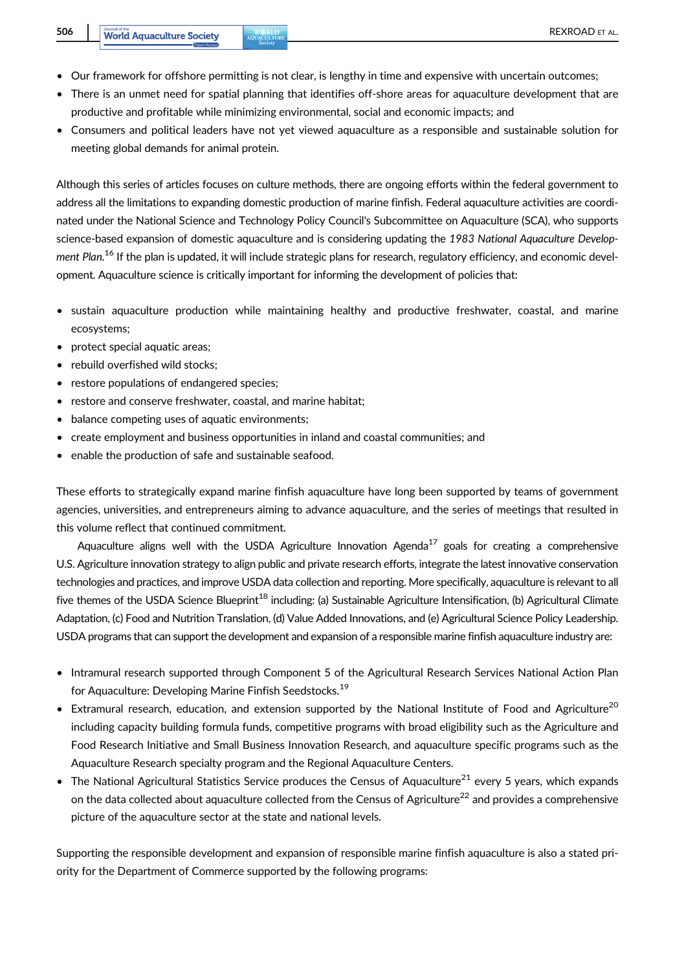- Our framework for offshore permitting is not clear, is lengthy in time and expensive with uncertain outcomes;
- There is an unmet need for spatial planning that identifies off-shore areas for aquaculture development that are productive and profitable while minimizing environmental, social and economic impacts; and
- Consumers and political leaders have not yet viewed aquaculture as a responsible and sustainable solution for meeting global demands for animal protein.

Although this series of articles focuses on culture methods, there are ongoing efforts within the federal government to address all the limitations to expanding domestic production of marine finfish. Federal aquaculture activities are coordinated under the National Science and Technology Policy Council's Subcommittee on Aquaculture (SCA), who supports science-based expansion of domestic aquaculture and is considering updating the 1983 National Aquaculture Development Plan.<sup>16</sup> If the plan is updated, it will include strategic plans for research, regulatory efficiency, and economic development. Aquaculture science is critically important for informing the development of policies that:

- sustain aquaculture production while maintaining healthy and productive freshwater, coastal, and marine ecosystems;
- protect special aquatic areas;
- rebuild overfished wild stocks:
- restore populations of endangered species;
- restore and conserve freshwater, coastal, and marine habitat;
- balance competing uses of aquatic environments;
- create employment and business opportunities in inland and coastal communities; and
- enable the production of safe and sustainable seafood.

These efforts to strategically expand marine finfish aquaculture have long been supported by teams of government agencies, universities, and entrepreneurs aiming to advance aquaculture, and the series of meetings that resulted in this volume reflect that continued commitment.

Aquaculture aligns well with the USDA Agriculture Innovation Agenda<sup>17</sup> goals for creating a comprehensive U.S. Agriculture innovation strategy to align public and private research efforts, integrate the latest innovative conservation technologies and practices, and improve USDA data collection and reporting. More specifically, aquaculture is relevant to all five themes of the USDA Science Blueprint<sup>18</sup> including: (a) Sustainable Agriculture Intensification, (b) Agricultural Climate Adaptation, (c) Food and Nutrition Translation, (d) Value Added Innovations, and (e) Agricultural Science Policy Leadership. USDA programs that can support the development and expansion of a responsible marine finfish aquaculture industry are:

- Intramural research supported through Component 5 of the Agricultural Research Services National Action Plan for Aquaculture: Developing Marine Finfish Seedstocks.19
- Extramural research, education, and extension supported by the National Institute of Food and Agriculture<sup>20</sup> including capacity building formula funds, competitive programs with broad eligibility such as the Agriculture and Food Research Initiative and Small Business Innovation Research, and aquaculture specific programs such as the Aquaculture Research specialty program and the Regional Aquaculture Centers.
- The National Agricultural Statistics Service produces the Census of Aquaculture<sup>21</sup> every 5 years, which expands on the data collected about aquaculture collected from the Census of Agriculture<sup>22</sup> and provides a comprehensive picture of the aquaculture sector at the state and national levels.

Supporting the responsible development and expansion of responsible marine finfish aquaculture is also a stated priority for the Department of Commerce supported by the following programs: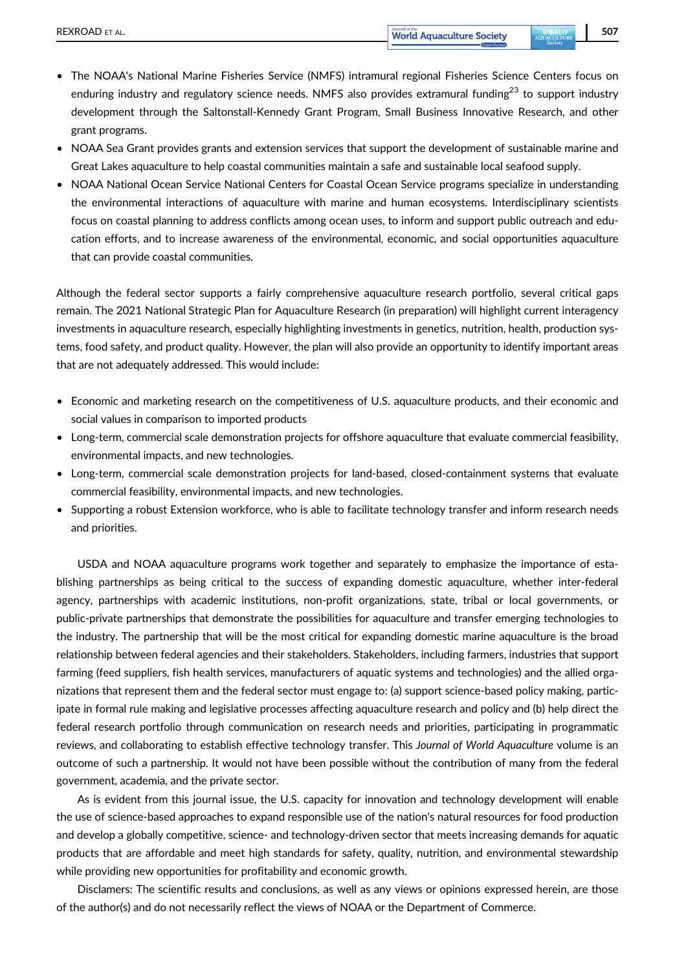- The NOAA's National Marine Fisheries Service (NMFS) intramural regional Fisheries Science Centers focus on enduring industry and regulatory science needs. NMFS also provides extramural funding<sup>23</sup> to support industry development through the Saltonstall-Kennedy Grant Program, Small Business Innovative Research, and other grant programs.
- NOAA Sea Grant provides grants and extension services that support the development of sustainable marine and Great Lakes aquaculture to help coastal communities maintain a safe and sustainable local seafood supply.
- NOAA National Ocean Service National Centers for Coastal Ocean Service programs specialize in understanding the environmental interactions of aquaculture with marine and human ecosystems. Interdisciplinary scientists focus on coastal planning to address conflicts among ocean uses, to inform and support public outreach and education efforts, and to increase awareness of the environmental, economic, and social opportunities aquaculture that can provide coastal communities.

Although the federal sector supports a fairly comprehensive aquaculture research portfolio, several critical gaps remain. The 2021 National Strategic Plan for Aquaculture Research (in preparation) will highlight current interagency investments in aquaculture research, especially highlighting investments in genetics, nutrition, health, production systems, food safety, and product quality. However, the plan will also provide an opportunity to identify important areas that are not adequately addressed. This would include:

- Economic and marketing research on the competitiveness of U.S. aquaculture products, and their economic and social values in comparison to imported products
- Long-term, commercial scale demonstration projects for offshore aquaculture that evaluate commercial feasibility, environmental impacts, and new technologies.
- Long-term, commercial scale demonstration projects for land-based, closed-containment systems that evaluate commercial feasibility, environmental impacts, and new technologies.
- Supporting a robust Extension workforce, who is able to facilitate technology transfer and inform research needs and priorities.

USDA and NOAA aquaculture programs work together and separately to emphasize the importance of establishing partnerships as being critical to the success of expanding domestic aquaculture, whether inter-federal agency, partnerships with academic institutions, non-profit organizations, state, tribal or local governments, or public-private partnerships that demonstrate the possibilities for aquaculture and transfer emerging technologies to the industry. The partnership that will be the most critical for expanding domestic marine aquaculture is the broad relationship between federal agencies and their stakeholders. Stakeholders, including farmers, industries that support farming (feed suppliers, fish health services, manufacturers of aquatic systems and technologies) and the allied organizations that represent them and the federal sector must engage to: (a) support science-based policy making, participate in formal rule making and legislative processes affecting aquaculture research and policy and (b) help direct the federal research portfolio through communication on research needs and priorities, participating in programmatic reviews, and collaborating to establish effective technology transfer. This Journal of World Aquaculture volume is an outcome of such a partnership. It would not have been possible without the contribution of many from the federal government, academia, and the private sector.

As is evident from this journal issue, the U.S. capacity for innovation and technology development will enable the use of science-based approaches to expand responsible use of the nation's natural resources for food production and develop a globally competitive, science- and technology-driven sector that meets increasing demands for aquatic products that are affordable and meet high standards for safety, quality, nutrition, and environmental stewardship while providing new opportunities for profitability and economic growth.

Disclamers: The scientific results and conclusions, as well as any views or opinions expressed herein, are those of the author(s) and do not necessarily reflect the views of NOAA or the Department of Commerce.